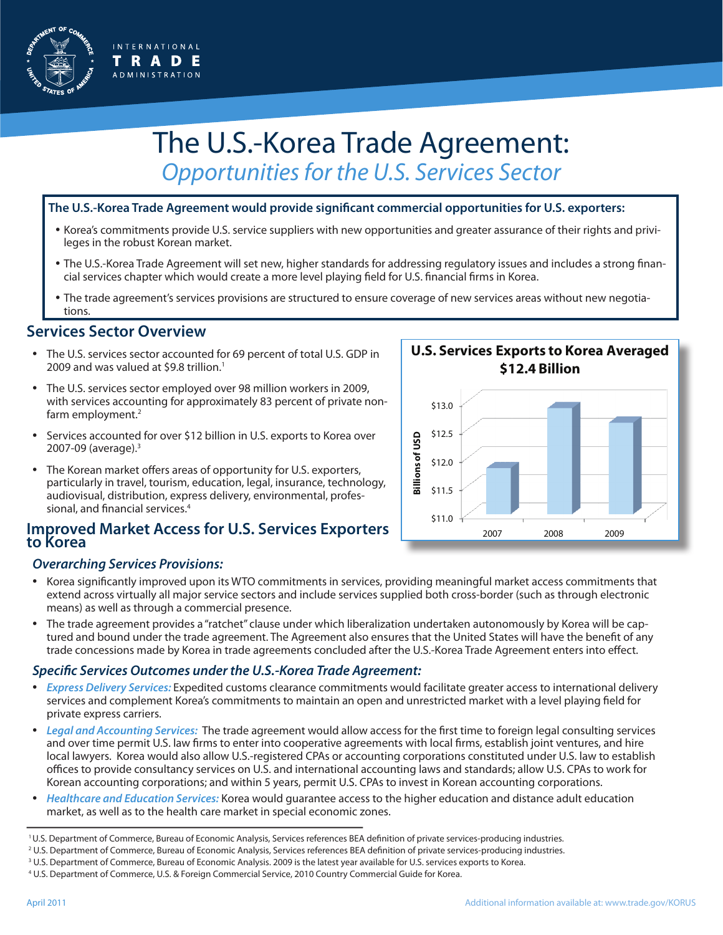

# The U.S.-Korea Trade Agreement: *Opportunities for the U.S. Services Sector*

#### **The U.S.-Korea Trade Agreement would provide significant commercial opportunities for U.S. exporters:**

- Korea's commitments provide U.S. service suppliers with new opportunities and greater assurance of their rights and privileges in the robust Korean market.
- The U.S.-Korea Trade Agreement will set new, higher standards for addressing regulatory issues and includes a strong financial services chapter which would create a more level playing field for U.S. financial firms in Korea.
- The trade agreement's services provisions are structured to ensure coverage of new services areas without new negotiations.

## **Services Sector Overview**

- The U.S. services sector accounted for 69 percent of total U.S. GDP in 2009 and was valued at \$9.8 trillion.<sup>1</sup>
- The U.S. services sector employed over 98 million workers in 2009, with services accounting for approximately 83 percent of private nonfarm employment.<sup>2</sup>
- Services accounted for over \$12 billion in U.S. exports to Korea over 2007-09 (average).3
- The Korean market offers areas of opportunity for U.S. exporters, particularly in travel, tourism, education, legal, insurance, technology, audiovisual, distribution, express delivery, environmental, professional, and financial services.<sup>4</sup>

#### **Improved Market Access for U.S. Services Exporters to Korea**

#### *Overarching Services Provisions:*

- Korea significantly improved upon its WTO commitments in services, providing meaningful market access commitments that extend across virtually all major service sectors and include services supplied both cross-border (such as through electronic means) as well as through a commercial presence.
- The trade agreement provides a "ratchet" clause under which liberalization undertaken autonomously by Korea will be captured and bound under the trade agreement. The Agreement also ensures that the United States will have the benefit of any trade concessions made by Korea in trade agreements concluded after the U.S.-Korea Trade Agreement enters into effect.

#### *Specific Services Outcomes under the U.S.-Korea Trade Agreement:*

- *Express Delivery Services:* Expedited customs clearance commitments would facilitate greater access to international delivery services and complement Korea's commitments to maintain an open and unrestricted market with a level playing field for private express carriers.
- *Legal and Accounting Services:* The trade agreement would allow access for the first time to foreign legal consulting services and over time permit U.S. law firms to enter into cooperative agreements with local firms, establish joint ventures, and hire local lawyers. Korea would also allow U.S.-registered CPAs or accounting corporations constituted under U.S. law to establish offices to provide consultancy services on U.S. and international accounting laws and standards; allow U.S. CPAs to work for Korean accounting corporations; and within 5 years, permit U.S. CPAs to invest in Korean accounting corporations.
- *Healthcare and Education Services:* Korea would guarantee access to the higher education and distance adult education market, as well as to the health care market in special economic zones.

- 2 U.S. Department of Commerce, Bureau of Economic Analysis, Services references BEA definition of private services-producing industries.
- 3 U.S. Department of Commerce, Bureau of Economic Analysis. 2009 is the latest year available for U.S. services exports to Korea.
- 4 U.S. Department of Commerce, U.S. & Foreign Commercial Service, 2010 Country Commercial Guide for Korea.



<sup>1</sup> U.S. Department of Commerce, Bureau of Economic Analysis, Services references BEA definition of private services-producing industries.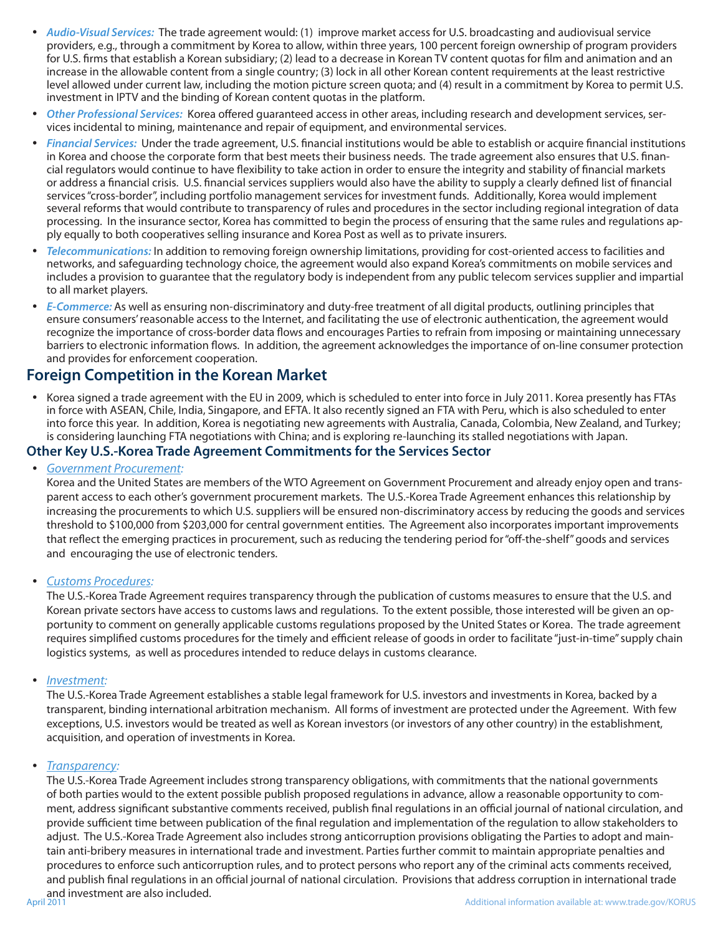- *Audio-Visual Services:* The trade agreement would: (1) improve market access for U.S. broadcasting and audiovisual service providers, e.g., through a commitment by Korea to allow, within three years, 100 percent foreign ownership of program providers for U.S. firms that establish a Korean subsidiary; (2) lead to a decrease in Korean TV content quotas for film and animation and an increase in the allowable content from a single country; (3) lock in all other Korean content requirements at the least restrictive level allowed under current law, including the motion picture screen quota; and (4) result in a commitment by Korea to permit U.S. investment in IPTV and the binding of Korean content quotas in the platform.
- *Other Professional Services:* Korea offered guaranteed access in other areas, including research and development services, services incidental to mining, maintenance and repair of equipment, and environmental services.
- *Financial Services:* Under the trade agreement, U.S. financial institutions would be able to establish or acquire financial institutions in Korea and choose the corporate form that best meets their business needs. The trade agreement also ensures that U.S. financial regulators would continue to have flexibility to take action in order to ensure the integrity and stability of financial markets or address a financial crisis. U.S. financial services suppliers would also have the ability to supply a clearly defined list of financial services "cross-border", including portfolio management services for investment funds. Additionally, Korea would implement several reforms that would contribute to transparency of rules and procedures in the sector including regional integration of data processing. In the insurance sector, Korea has committed to begin the process of ensuring that the same rules and regulations apply equally to both cooperatives selling insurance and Korea Post as well as to private insurers.
- *Telecommunications:* In addition to removing foreign ownership limitations, providing for cost-oriented access to facilities and networks, and safeguarding technology choice, the agreement would also expand Korea's commitments on mobile services and includes a provision to guarantee that the regulatory body is independent from any public telecom services supplier and impartial to all market players.
- *E-Commerce:* As well as ensuring non-discriminatory and duty-free treatment of all digital products, outlining principles that ensure consumers' reasonable access to the Internet, and facilitating the use of electronic authentication, the agreement would recognize the importance of cross-border data flows and encourages Parties to refrain from imposing or maintaining unnecessary barriers to electronic information flows. In addition, the agreement acknowledges the importance of on-line consumer protection and provides for enforcement cooperation.

### **Foreign Competition in the Korean Market**

• Korea signed a trade agreement with the EU in 2009, which is scheduled to enter into force in July 2011. Korea presently has FTAs in force with ASEAN, Chile, India, Singapore, and EFTA. It also recently signed an FTA with Peru, which is also scheduled to enter into force this year. In addition, Korea is negotiating new agreements with Australia, Canada, Colombia, New Zealand, and Turkey; is considering launching FTA negotiations with China; and is exploring re-launching its stalled negotiations with Japan.

#### **Other Key U.S.-Korea Trade Agreement Commitments for the Services Sector**

• *Government Procurement:*

Korea and the United States are members of the WTO Agreement on Government Procurement and already enjoy open and transparent access to each other's government procurement markets. The U.S.-Korea Trade Agreement enhances this relationship by increasing the procurements to which U.S. suppliers will be ensured non-discriminatory access by reducing the goods and services threshold to \$100,000 from \$203,000 for central government entities. The Agreement also incorporates important improvements that reflect the emerging practices in procurement, such as reducing the tendering period for "off-the-shelf" goods and services and encouraging the use of electronic tenders.

• *Customs Procedures:*

The U.S.-Korea Trade Agreement requires transparency through the publication of customs measures to ensure that the U.S. and Korean private sectors have access to customs laws and regulations. To the extent possible, those interested will be given an opportunity to comment on generally applicable customs regulations proposed by the United States or Korea. The trade agreement requires simplified customs procedures for the timely and efficient release of goods in order to facilitate "just-in-time" supply chain logistics systems, as well as procedures intended to reduce delays in customs clearance.

• *Investment:*

The U.S.-Korea Trade Agreement establishes a stable legal framework for U.S. investors and investments in Korea, backed by a transparent, binding international arbitration mechanism. All forms of investment are protected under the Agreement. With few exceptions, U.S. investors would be treated as well as Korean investors (or investors of any other country) in the establishment, acquisition, and operation of investments in Korea.

#### • *Transparency:*

The U.S.-Korea Trade Agreement includes strong transparency obligations, with commitments that the national governments of both parties would to the extent possible publish proposed regulations in advance, allow a reasonable opportunity to comment, address significant substantive comments received, publish final regulations in an official journal of national circulation, and provide sufficient time between publication of the final regulation and implementation of the regulation to allow stakeholders to adjust. The U.S.-Korea Trade Agreement also includes strong anticorruption provisions obligating the Parties to adopt and maintain anti-bribery measures in international trade and investment. Parties further commit to maintain appropriate penalties and procedures to enforce such anticorruption rules, and to protect persons who report any of the criminal acts comments received, and publish final regulations in an official journal of national circulation. Provisions that address corruption in international trade and investment are also included.